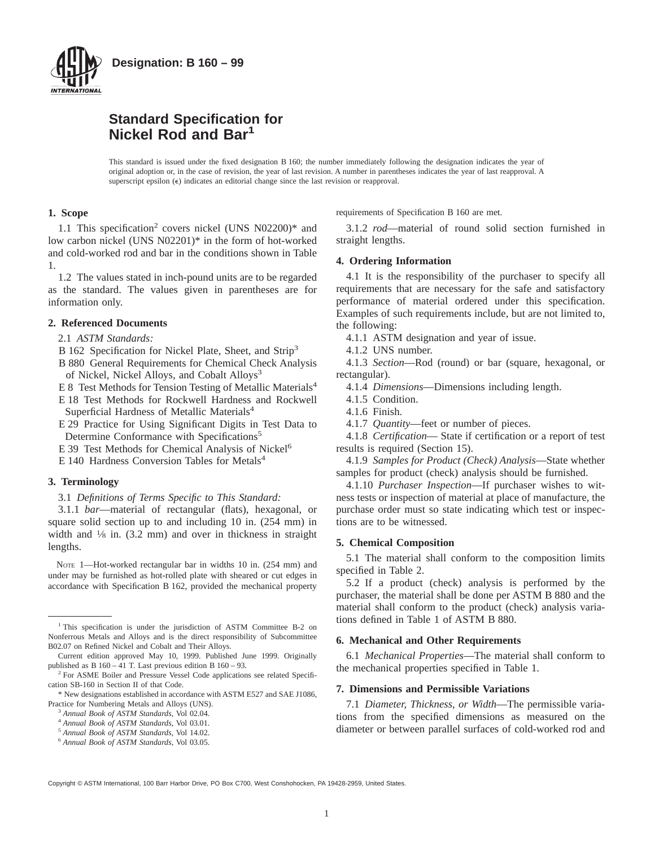

# **Standard Specification for Nickel Rod and Bar<sup>1</sup>**

This standard is issued under the fixed designation B 160; the number immediately following the designation indicates the year of original adoption or, in the case of revision, the year of last revision. A number in parentheses indicates the year of last reapproval. A superscript epsilon (e) indicates an editorial change since the last revision or reapproval.

### **1. Scope**

1.1 This specification<sup>2</sup> covers nickel (UNS  $N02200$ )\* and low carbon nickel (UNS N02201)\* in the form of hot-worked and cold-worked rod and bar in the conditions shown in Table 1.

1.2 The values stated in inch-pound units are to be regarded as the standard. The values given in parentheses are for information only.

# **2. Referenced Documents**

2.1 *ASTM Standards:*

- B 162 Specification for Nickel Plate, Sheet, and Strip<sup>3</sup>
- B 880 General Requirements for Chemical Check Analysis of Nickel, Nickel Alloys, and Cobalt Alloys<sup>3</sup>
- E 8 Test Methods for Tension Testing of Metallic Materials<sup>4</sup>
- E 18 Test Methods for Rockwell Hardness and Rockwell Superficial Hardness of Metallic Materials<sup>4</sup>
- E 29 Practice for Using Significant Digits in Test Data to Determine Conformance with Specifications<sup>5</sup>
- E 39 Test Methods for Chemical Analysis of Nickel<sup>6</sup>
- E 140 Hardness Conversion Tables for Metals<sup>4</sup>

#### **3. Terminology**

3.1 *Definitions of Terms Specific to This Standard:*

3.1.1 *bar*—material of rectangular (flats), hexagonal, or square solid section up to and including 10 in. (254 mm) in width and  $\frac{1}{8}$  in. (3.2 mm) and over in thickness in straight lengths.

NOTE 1-Hot-worked rectangular bar in widths 10 in. (254 mm) and under may be furnished as hot-rolled plate with sheared or cut edges in accordance with Specification B 162, provided the mechanical property

- <sup>4</sup> *Annual Book of ASTM Standards*, Vol 03.01.
- <sup>5</sup> *Annual Book of ASTM Standards*, Vol 14.02.

requirements of Specification B 160 are met.

3.1.2 *rod*—material of round solid section furnished in straight lengths.

#### **4. Ordering Information**

4.1 It is the responsibility of the purchaser to specify all requirements that are necessary for the safe and satisfactory performance of material ordered under this specification. Examples of such requirements include, but are not limited to, the following:

4.1.1 ASTM designation and year of issue.

4.1.2 UNS number.

4.1.3 *Section*—Rod (round) or bar (square, hexagonal, or rectangular).

4.1.4 *Dimensions*—Dimensions including length.

4.1.5 Condition.

- 4.1.6 Finish.
- 4.1.7 *Quantity*—feet or number of pieces.

4.1.8 *Certification*— State if certification or a report of test results is required (Section 15).

4.1.9 *Samples for Product (Check) Analysis*—State whether samples for product (check) analysis should be furnished.

4.1.10 *Purchaser Inspection*—If purchaser wishes to witness tests or inspection of material at place of manufacture, the purchase order must so state indicating which test or inspections are to be witnessed.

#### **5. Chemical Composition**

5.1 The material shall conform to the composition limits specified in Table 2.

5.2 If a product (check) analysis is performed by the purchaser, the material shall be done per ASTM B 880 and the material shall conform to the product (check) analysis variations defined in Table 1 of ASTM B 880.

#### **6. Mechanical and Other Requirements**

6.1 *Mechanical Properties*—The material shall conform to the mechanical properties specified in Table 1.

#### **7. Dimensions and Permissible Variations**

7.1 *Diameter, Thickness, or Width*—The permissible variations from the specified dimensions as measured on the diameter or between parallel surfaces of cold-worked rod and

Copyright © ASTM International, 100 Barr Harbor Drive, PO Box C700, West Conshohocken, PA 19428-2959, United States.

<sup>&</sup>lt;sup>1</sup> This specification is under the jurisdiction of ASTM Committee B-2 on Nonferrous Metals and Alloys and is the direct responsibility of Subcommittee B02.07 on Refined Nickel and Cobalt and Their Alloys.

Current edition approved May 10, 1999. Published June 1999. Originally published as B 160 – 41 T. Last previous edition B 160 – 93.

<sup>&</sup>lt;sup>2</sup> For ASME Boiler and Pressure Vessel Code applications see related Specification SB-160 in Section II of that Code.

<sup>\*</sup> New designations established in accordance with ASTM E527 and SAE J1086, Practice for Numbering Metals and Alloys (UNS).

<sup>3</sup> *Annual Book of ASTM Standards*, Vol 02.04.

<sup>6</sup> *Annual Book of ASTM Standards*, Vol 03.05.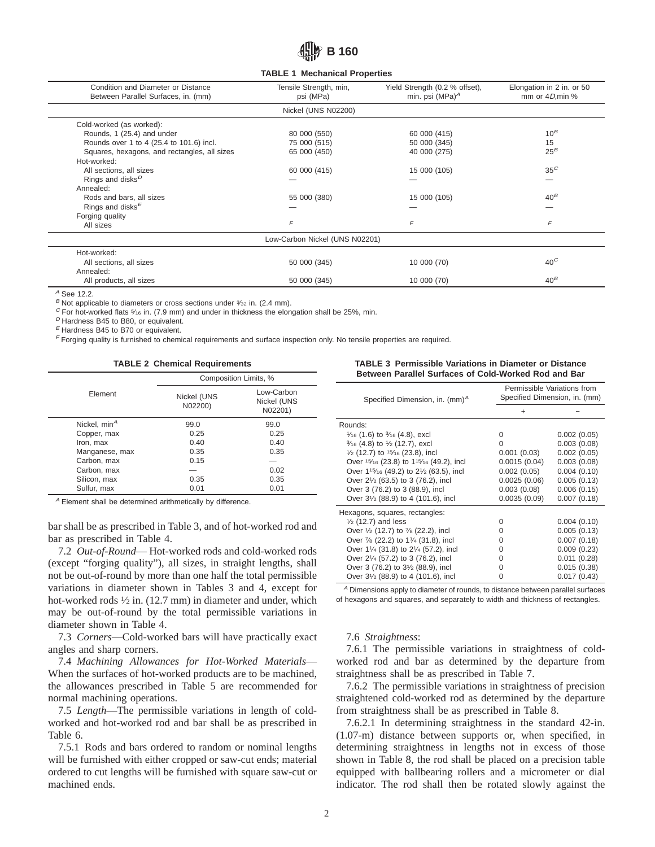# **B 160**

**TABLE 1 Mechanical Properties**

| Condition and Diameter or Distance<br>Between Parallel Surfaces, in. (mm) | Tensile Strength, min,<br>psi (MPa) | Yield Strength (0.2 % offset),<br>min. psi (MPa) $^A$ | Elongation in 2 in. or 50<br>mm or $4D$ , min % |
|---------------------------------------------------------------------------|-------------------------------------|-------------------------------------------------------|-------------------------------------------------|
|                                                                           | Nickel (UNS N02200)                 |                                                       |                                                 |
| Cold-worked (as worked):                                                  |                                     |                                                       |                                                 |
| Rounds, 1 (25.4) and under                                                | 80 000 (550)                        | 60 000 (415)                                          | $10^B$                                          |
| Rounds over 1 to 4 (25.4 to 101.6) incl.                                  | 75 000 (515)                        | 50 000 (345)                                          | 15                                              |
| Squares, hexagons, and rectangles, all sizes                              | 65 000 (450)                        | 40 000 (275)                                          | $25^B$                                          |
| Hot-worked:                                                               |                                     |                                                       |                                                 |
| All sections, all sizes                                                   | 60 000 (415)                        | 15 000 (105)                                          | $35^C$                                          |
| Rings and disks <sup>D</sup>                                              |                                     |                                                       |                                                 |
| Annealed:                                                                 |                                     |                                                       |                                                 |
| Rods and bars, all sizes                                                  | 55 000 (380)                        | 15 000 (105)                                          | $40^B$                                          |
| Rings and disks $E$                                                       |                                     |                                                       |                                                 |
| Forging quality                                                           |                                     |                                                       |                                                 |
| All sizes                                                                 | $\sqrt{2}$                          | $\sqrt{2}$                                            | F                                               |
|                                                                           | Low-Carbon Nickel (UNS N02201)      |                                                       |                                                 |
| Hot-worked:                                                               |                                     |                                                       |                                                 |
| All sections, all sizes                                                   | 50 000 (345)                        | 10 000 (70)                                           | $40^{\circ}$                                    |
| Annealed:                                                                 |                                     |                                                       |                                                 |
| All products, all sizes                                                   | 50 000 (345)                        | 10 000 (70)                                           | $40^B$                                          |

<sup>A</sup> See 12.2.

 $B$  Not applicable to diameters or cross sections under  $\frac{3}{2}$  in. (2.4 mm).

 $C$  For hot-worked flats  $\frac{5}{16}$  in. (7.9 mm) and under in thickness the elongation shall be 25%, min.

 $<sup>D</sup>$  Hardness B45 to B80, or equivalent.</sup>

 $E$  Hardness B45 to B70 or equivalent.

<sup>F</sup> Forging quality is furnished to chemical requirements and surface inspection only. No tensile properties are required.

**TABLE 2 Chemical Requirements**

|                          | Composition Limits, %  |                                      |  |
|--------------------------|------------------------|--------------------------------------|--|
| Element                  | Nickel (UNS<br>N02200) | Low-Carbon<br>Nickel (UNS<br>N02201) |  |
| Nickel, min <sup>A</sup> | 99.0                   | 99.0                                 |  |
| Copper, max              | 0.25                   | 0.25                                 |  |
| Iron, max                | 0.40                   | 0.40                                 |  |
| Manganese, max           | 0.35                   | 0.35                                 |  |
| Carbon, max              | 0.15                   |                                      |  |
| Carbon, max              |                        | 0.02                                 |  |
| Silicon, max             | 0.35                   | 0.35                                 |  |
| Sulfur, max              | 0.01                   | 0.01                                 |  |

<sup>A</sup> Element shall be determined arithmetically by difference.

bar shall be as prescribed in Table 3, and of hot-worked rod and bar as prescribed in Table 4.

7.2 *Out-of-Round*— Hot-worked rods and cold-worked rods (except "forging quality"), all sizes, in straight lengths, shall not be out-of-round by more than one half the total permissible variations in diameter shown in Tables 3 and 4, except for hot-worked rods  $\frac{1}{2}$  in. (12.7 mm) in diameter and under, which may be out-of-round by the total permissible variations in diameter shown in Table 4.

7.3 *Corners*—Cold-worked bars will have practically exact angles and sharp corners.

7.4 *Machining Allowances for Hot-Worked Materials*— When the surfaces of hot-worked products are to be machined, the allowances prescribed in Table 5 are recommended for normal machining operations.

7.5 *Length*—The permissible variations in length of coldworked and hot-worked rod and bar shall be as prescribed in Table 6.

7.5.1 Rods and bars ordered to random or nominal lengths will be furnished with either cropped or saw-cut ends; material ordered to cut lengths will be furnished with square saw-cut or machined ends.

**TABLE 3 Permissible Variations in Diameter or Distance Between Parallel Surfaces of Cold-Worked Rod and Bar**

| Specified Dimension, in. $(mm)^A$                       | Permissible Variations from<br>Specified Dimension, in. (mm) |             |  |
|---------------------------------------------------------|--------------------------------------------------------------|-------------|--|
|                                                         | +                                                            |             |  |
| Rounds:                                                 |                                                              |             |  |
| $\frac{1}{16}$ (1.6) to $\frac{3}{16}$ (4.8), excl      | 0                                                            | 0.002(0.05) |  |
| $\frac{3}{16}$ (4.8) to $\frac{1}{2}$ (12.7), excl      | 0                                                            | 0.003(0.08) |  |
| $\frac{1}{2}$ (12.7) to $\frac{15}{16}$ (23.8), incl    | 0.001(0.03)                                                  | 0.002(0.05) |  |
| Over 15/16 (23.8) to 115/16 (49.2), incl                | 0.0015(0.04)                                                 | 0.003(0.08) |  |
| Over 115/16 (49.2) to 21/2 (63.5), incl                 | 0.002(0.05)                                                  | 0.004(0.10) |  |
| Over 21/2 (63.5) to 3 (76.2), incl                      | 0.0025(0.06)                                                 | 0.005(0.13) |  |
| Over 3 (76.2) to 3 (88.9), incl.                        | 0.003(0.08)                                                  | 0.006(0.15) |  |
| Over 31/2 (88.9) to 4 (101.6), incl                     | 0.0035(0.09)                                                 | 0.007(0.18) |  |
| Hexagons, squares, rectangles:                          |                                                              |             |  |
| $\frac{1}{2}$ (12.7) and less                           | 0                                                            | 0.004(0.10) |  |
| Over $\frac{1}{2}$ (12.7) to $\frac{7}{8}$ (22.2), incl | 0                                                            | 0.005(0.13) |  |
| Over 7/8 (22.2) to 11/4 (31.8), incl                    | 0                                                            | 0.007(0.18) |  |
| Over 11/4 (31.8) to 21/4 (57.2), incl                   | O                                                            | 0.009(0.23) |  |
| Over 21/4 (57.2) to 3 (76.2), incl                      | 0                                                            | 0.011(0.28) |  |
| Over 3 (76.2) to 31/2 (88.9), incl                      | 0                                                            | 0.015(0.38) |  |
| Over 31/2 (88.9) to 4 (101.6), incl                     | 0                                                            | 0.017(0.43) |  |

 $A$  Dimensions apply to diameter of rounds, to distance between parallel surfaces of hexagons and squares, and separately to width and thickness of rectangles.

#### 7.6 *Straightness*:

7.6.1 The permissible variations in straightness of coldworked rod and bar as determined by the departure from straightness shall be as prescribed in Table 7.

7.6.2 The permissible variations in straightness of precision straightened cold-worked rod as determined by the departure from straightness shall be as prescribed in Table 8.

7.6.2.1 In determining straightness in the standard 42-in. (1.07-m) distance between supports or, when specified, in determining straightness in lengths not in excess of those shown in Table 8, the rod shall be placed on a precision table equipped with ballbearing rollers and a micrometer or dial indicator. The rod shall then be rotated slowly against the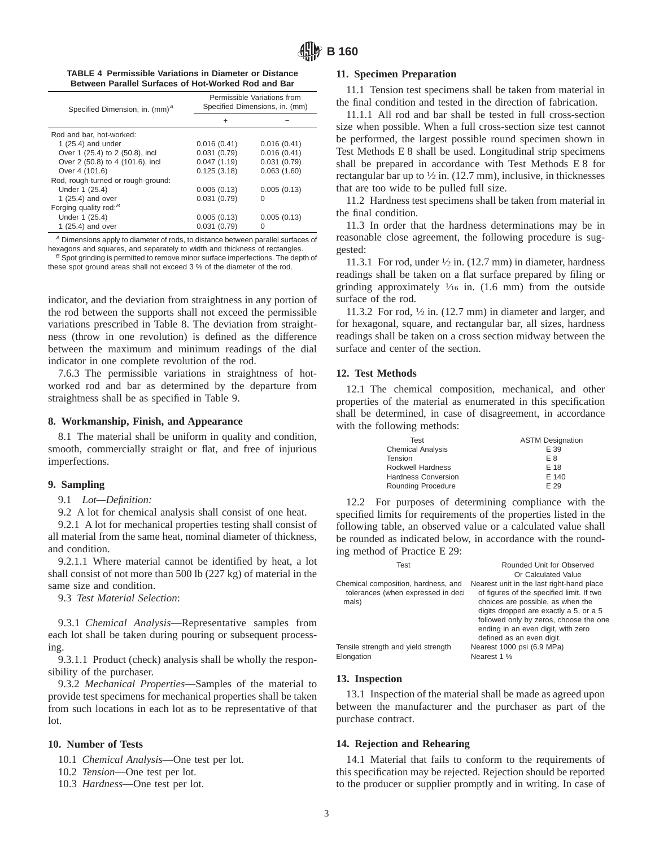|                                                     |  | TABLE 4 Permissible Variations in Diameter or Distance |
|-----------------------------------------------------|--|--------------------------------------------------------|
| Between Parallel Surfaces of Hot-Worked Rod and Bar |  |                                                        |

| Specified Dimension, in. (mm) <sup>A</sup> | Permissible Variations from<br>Specified Dimensions, in. (mm) |             |  |
|--------------------------------------------|---------------------------------------------------------------|-------------|--|
|                                            | ÷                                                             |             |  |
| Rod and bar, hot-worked:                   |                                                               |             |  |
| 1 $(25.4)$ and under                       | 0.016(0.41)                                                   | 0.016(0.41) |  |
| Over 1 (25.4) to 2 (50.8), incl            | 0.031(0.79)                                                   | 0.016(0.41) |  |
| Over 2 (50.8) to 4 (101.6), incl           | 0.047(1.19)                                                   | 0.031(0.79) |  |
| Over 4 (101.6)                             | 0.125(3.18)                                                   | 0.063(1.60) |  |
| Rod, rough-turned or rough-ground:         |                                                               |             |  |
| Under 1 (25.4)                             | 0.005(0.13)                                                   | 0.005(0.13) |  |
| 1 (25.4) and over                          | 0.031(0.79)                                                   | 0           |  |
| Forging quality rod: $^B$                  |                                                               |             |  |
| Under 1 (25.4)                             | 0.005(0.13)                                                   | 0.005(0.13) |  |
| 1 (25.4) and over                          | 0.031(0.79)                                                   | O           |  |

<sup>A</sup> Dimensions apply to diameter of rods, to distance between parallel surfaces of hexagons and squares, and separately to width and thickness of rectangles.

 $B$  Spot grinding is permitted to remove minor surface imperfections. The depth of these spot ground areas shall not exceed 3 % of the diameter of the rod.

indicator, and the deviation from straightness in any portion of the rod between the supports shall not exceed the permissible variations prescribed in Table 8. The deviation from straightness (throw in one revolution) is defined as the difference between the maximum and minimum readings of the dial indicator in one complete revolution of the rod.

7.6.3 The permissible variations in straightness of hotworked rod and bar as determined by the departure from straightness shall be as specified in Table 9.

### **8. Workmanship, Finish, and Appearance**

8.1 The material shall be uniform in quality and condition, smooth, commercially straight or flat, and free of injurious imperfections.

#### **9. Sampling**

9.1 *Lot—Definition:*

9.2 A lot for chemical analysis shall consist of one heat.

9.2.1 A lot for mechanical properties testing shall consist of all material from the same heat, nominal diameter of thickness, and condition.

9.2.1.1 Where material cannot be identified by heat, a lot shall consist of not more than 500 lb (227 kg) of material in the same size and condition.

9.3 *Test Material Selection*:

9.3.1 *Chemical Analysis*—Representative samples from each lot shall be taken during pouring or subsequent processing.

9.3.1.1 Product (check) analysis shall be wholly the responsibility of the purchaser.

9.3.2 *Mechanical Properties*—Samples of the material to provide test specimens for mechanical properties shall be taken from such locations in each lot as to be representative of that lot.

# **10. Number of Tests**

10.1 *Chemical Analysis*—One test per lot.

10.2 *Tension*—One test per lot.

10.3 *Hardness*—One test per lot.

#### **11. Specimen Preparation**

11.1 Tension test specimens shall be taken from material in the final condition and tested in the direction of fabrication.

11.1.1 All rod and bar shall be tested in full cross-section size when possible. When a full cross-section size test cannot be performed, the largest possible round specimen shown in Test Methods E 8 shall be used. Longitudinal strip specimens shall be prepared in accordance with Test Methods E 8 for rectangular bar up to  $\frac{1}{2}$  in. (12.7 mm), inclusive, in thicknesses that are too wide to be pulled full size.

11.2 Hardness test specimens shall be taken from material in the final condition.

11.3 In order that the hardness determinations may be in reasonable close agreement, the following procedure is suggested:

11.3.1 For rod, under  $\frac{1}{2}$  in. (12.7 mm) in diameter, hardness readings shall be taken on a flat surface prepared by filing or grinding approximately  $\frac{1}{16}$  in. (1.6 mm) from the outside surface of the rod.

11.3.2 For rod,  $\frac{1}{2}$  in. (12.7 mm) in diameter and larger, and for hexagonal, square, and rectangular bar, all sizes, hardness readings shall be taken on a cross section midway between the surface and center of the section.

#### **12. Test Methods**

12.1 The chemical composition, mechanical, and other properties of the material as enumerated in this specification shall be determined, in case of disagreement, in accordance with the following methods:

| Test                     | <b>ASTM Designation</b> |
|--------------------------|-------------------------|
| <b>Chemical Analysis</b> | E 39                    |
| Tension                  | F 8                     |
| Rockwell Hardness        | E 18                    |
| Hardness Conversion      | E 140                   |
| Rounding Procedure       | F 29                    |

12.2 For purposes of determining compliance with the specified limits for requirements of the properties listed in the following table, an observed value or a calculated value shall be rounded as indicated below, in accordance with the rounding method of Practice E 29:

| Test                                                                      | Rounded Unit for Observed                                                              |
|---------------------------------------------------------------------------|----------------------------------------------------------------------------------------|
|                                                                           | Or Calculated Value                                                                    |
| Chemical composition, hardness, and<br>tolerances (when expressed in deci | Nearest unit in the last right-hand place<br>of figures of the specified limit. If two |
| mals)                                                                     | choices are possible, as when the                                                      |
|                                                                           | digits dropped are exactly a 5, or a 5                                                 |
|                                                                           | followed only by zeros, choose the one                                                 |
|                                                                           | ending in an even digit, with zero                                                     |
|                                                                           | defined as an even digit.                                                              |
| Tensile strength and yield strength                                       | Nearest 1000 psi (6.9 MPa)                                                             |
| Elongation                                                                | Nearest 1 %                                                                            |

#### **13. Inspection**

13.1 Inspection of the material shall be made as agreed upon between the manufacturer and the purchaser as part of the purchase contract.

#### **14. Rejection and Rehearing**

14.1 Material that fails to conform to the requirements of this specification may be rejected. Rejection should be reported to the producer or supplier promptly and in writing. In case of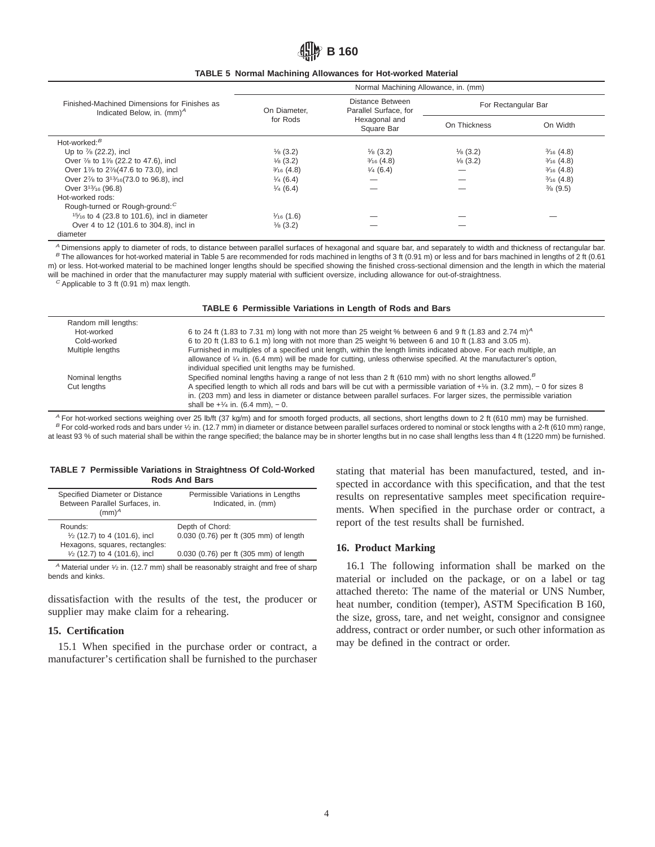# 出III》B 160

|  | <b>TABLE 5 Normal Machining Allowances for Hot-worked Material</b> |  |  |  |
|--|--------------------------------------------------------------------|--|--|--|
|--|--------------------------------------------------------------------|--|--|--|

|                                                                               | Normal Machining Allowance, in. (mm)    |                                           |                     |                      |
|-------------------------------------------------------------------------------|-----------------------------------------|-------------------------------------------|---------------------|----------------------|
| Finished-Machined Dimensions for Finishes as<br>Indicated Below, in. $(mm)^A$ | On Diameter.                            | Distance Between<br>Parallel Surface, for | For Rectangular Bar |                      |
|                                                                               | for Rods<br>Hexagonal and<br>Square Bar |                                           | On Thickness        | On Width             |
| Hot-worked: $B$                                                               |                                         |                                           |                     |                      |
| Up to 7/8 (22.2), incl                                                        | $\frac{1}{8}$ (3.2)                     | $\frac{1}{8}$ (3.2)                       | $\frac{1}{8}$ (3.2) | $\frac{3}{16}$ (4.8) |
| Over 7/8 to 17/8 (22.2 to 47.6), incl                                         | $\frac{1}{8}$ (3.2)                     | $\frac{3}{16}$ (4.8)                      | $\frac{1}{8}$ (3.2) | $\frac{3}{16}$ (4.8) |
| Over 1% to 2% (47.6 to 73.0), incl                                            | $\frac{3}{16}$ (4.8)                    | $\frac{1}{4}$ (6.4)                       |                     | $\frac{3}{16}$ (4.8) |
| Over 27/8 to 313/16(73.0 to 96.8), incl                                       | $\frac{1}{4}$ (6.4)                     |                                           |                     | $\frac{3}{16}$ (4.8) |
| Over 3 <sup>13</sup> / <sub>16</sub> (96.8)                                   | $\frac{1}{4}$ (6.4)                     |                                           |                     | $\frac{3}{8}$ (9.5)  |
| Hot-worked rods:                                                              |                                         |                                           |                     |                      |
| Rough-turned or Rough-ground: <sup>C</sup>                                    |                                         |                                           |                     |                      |
| $15/16$ to 4 (23.8 to 101.6), incl in diameter                                | $\frac{1}{16}$ (1.6)                    |                                           |                     |                      |
| Over 4 to 12 (101.6 to 304.8), incl in                                        | $\frac{1}{8}$ (3.2)                     |                                           |                     |                      |
| diameter                                                                      |                                         |                                           |                     |                      |

A Dimensions apply to diameter of rods, to distance between parallel surfaces of hexagonal and square bar, and separately to width and thickness of rectangular bar. B The allowances for hot-worked material in Table 5 are recommended for rods machined in lengths of 3 ft (0.91 m) or less and for bars machined in lengths of 2 ft (0.61 m) or less. Hot-worked material to be machined longer lengths should be specified showing the finished cross-sectional dimension and the length in which the material will be machined in order that the manufacturer may supply material with sufficient oversize, including allowance for out-of-straightness.

 $C$  Applicable to 3 ft (0.91 m) max length.

**TABLE 6 Permissible Variations in Length of Rods and Bars**

| Random mill lengths: |                                                                                                                                   |
|----------------------|-----------------------------------------------------------------------------------------------------------------------------------|
| Hot-worked           | 6 to 24 ft (1.83 to 7.31 m) long with not more than 25 weight % between 6 and 9 ft (1.83 and 2.74 m) <sup>4</sup>                 |
| Cold-worked          | 6 to 20 ft (1.83 to 6.1 m) long with not more than 25 weight % between 6 and 10 ft (1.83 and 3.05 m).                             |
| Multiple lengths     | Furnished in multiples of a specified unit length, within the length limits indicated above. For each multiple, an                |
|                      | allowance of $\frac{1}{4}$ in. (6.4 mm) will be made for cutting, unless otherwise specified. At the manufacturer's option,       |
|                      | individual specified unit lengths may be furnished.                                                                               |
| Nominal lengths      | Specified nominal lengths having a range of not less than 2 ft (610 mm) with no short lengths allowed. <sup>B</sup>               |
| Cut lengths          | A specified length to which all rods and bars will be cut with a permissible variation of $+$ 1/8 in. (3.2 mm), $-$ 0 for sizes 8 |
|                      | in. (203 mm) and less in diameter or distance between parallel surfaces. For larger sizes, the permissible variation              |
|                      | shall be $+1/4$ in. (6.4 mm), $-0$ .                                                                                              |

 $A$  For hot-worked sections weighing over 25 lb/ft (37 kg/m) and for smooth forged products, all sections, short lengths down to 2 ft (610 mm) may be furnished. B For cold-worked rods and bars under 1/2 in. (12.7 mm) in diameter or distance between parallel surfaces ordered to nominal or stock lengths with a 2-ft (610 mm) range, at least 93 % of such material shall be within the range specified; the balance may be in shorter lengths but in no case shall lengths less than 4 ft (1220 mm) be furnished.

#### **TABLE 7 Permissible Variations in Straightness Of Cold-Worked Rods And Bars**

| Specified Diameter or Distance<br>Between Parallel Surfaces, in.<br>(mm) <sup>A</sup> | Permissible Variations in Lengths<br>Indicated, in. (mm) |
|---------------------------------------------------------------------------------------|----------------------------------------------------------|
| Rounds:                                                                               | Depth of Chord:                                          |
| $\frac{1}{2}$ (12.7) to 4 (101.6), incl                                               | 0.030 (0.76) per ft (305 mm) of length                   |
| Hexagons, squares, rectangles:                                                        |                                                          |
| $\frac{1}{2}$ (12.7) to 4 (101.6), incl                                               | 0.030 (0.76) per ft (305 mm) of length                   |

 $^A$  Material under  $\frac{1}{2}$  in. (12.7 mm) shall be reasonably straight and free of sharp bends and kinks.

dissatisfaction with the results of the test, the producer or supplier may make claim for a rehearing.

### **15. Certification**

15.1 When specified in the purchase order or contract, a manufacturer's certification shall be furnished to the purchaser stating that material has been manufactured, tested, and inspected in accordance with this specification, and that the test results on representative samples meet specification requirements. When specified in the purchase order or contract, a report of the test results shall be furnished.

### **16. Product Marking**

16.1 The following information shall be marked on the material or included on the package, or on a label or tag attached thereto: The name of the material or UNS Number, heat number, condition (temper), ASTM Specification B 160, the size, gross, tare, and net weight, consignor and consignee address, contract or order number, or such other information as may be defined in the contract or order.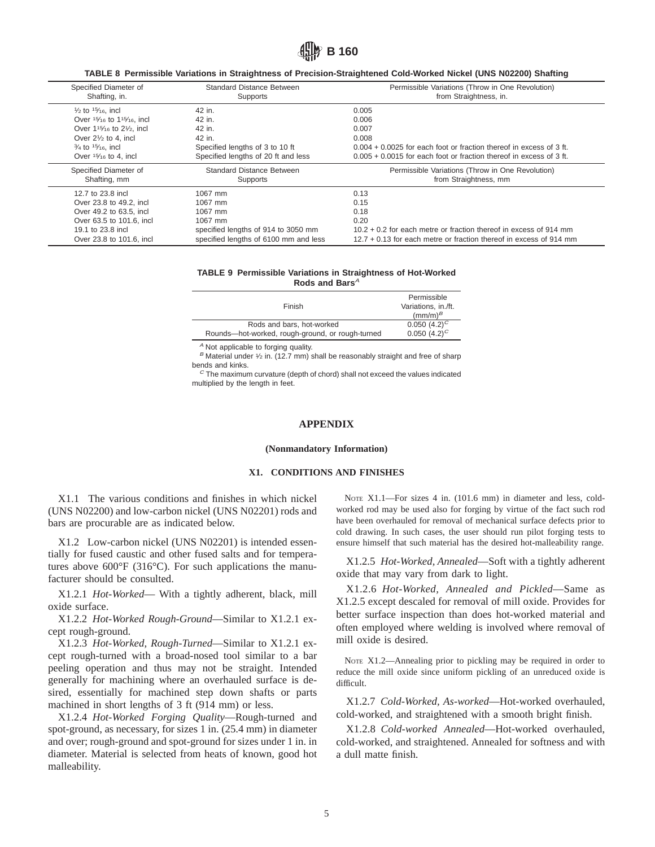

**TABLE 8 Permissible Variations in Straightness of Precision-Straightened Cold-Worked Nickel (UNS N02200) Shafting**

| Specified Diameter of                                                        | <b>Standard Distance Between</b>      | Permissible Variations (Throw in One Revolution)                      |
|------------------------------------------------------------------------------|---------------------------------------|-----------------------------------------------------------------------|
| Shafting, in.                                                                | Supports                              | from Straightness, in.                                                |
| $\frac{1}{2}$ to $\frac{15}{16}$ , incl                                      | 42 in.                                | 0.005                                                                 |
| Over 15/16 to 115/16, incl                                                   | 42 in.                                | 0.006                                                                 |
| Over 1 <sup>15</sup> / <sub>16</sub> to 2 <sup>1</sup> / <sub>2</sub> , incl | 42 in.                                | 0.007                                                                 |
| Over $2\frac{1}{2}$ to 4. incl                                               | 42 in.                                | 0.008                                                                 |
| $\frac{3}{4}$ to $\frac{15}{16}$ , incl                                      | Specified lengths of 3 to 10 ft       | $0.004 + 0.0025$ for each foot or fraction thereof in excess of 3 ft. |
| Over $15/16$ to 4, incl                                                      | Specified lengths of 20 ft and less   | $0.005 + 0.0015$ for each foot or fraction thereof in excess of 3 ft. |
| Specified Diameter of                                                        | <b>Standard Distance Between</b>      | Permissible Variations (Throw in One Revolution)                      |
| Shafting, mm                                                                 | Supports                              | from Straightness, mm                                                 |
| 12.7 to 23.8 incl                                                            | 1067 mm                               | 0.13                                                                  |
| Over 23.8 to 49.2, incl.                                                     | 1067 mm                               | 0.15                                                                  |
| Over 49.2 to 63.5, incl                                                      | 1067 mm                               | 0.18                                                                  |
| Over 63.5 to 101.6, incl.                                                    | 1067 mm                               | 0.20                                                                  |
| 19.1 to 23.8 incl                                                            | specified lengths of 914 to 3050 mm   | $10.2 + 0.2$ for each metre or fraction thereof in excess of 914 mm   |
| Over 23.8 to 101.6, incl.                                                    | specified lengths of 6100 mm and less | $12.7 + 0.13$ for each metre or fraction thereof in excess of 914 mm  |

#### **TABLE 9 Permissible Variations in Straightness of Hot-Worked** Rods and Bars<sup>A</sup>

| Finish                                           | Permissible<br>Variations, in./ft.<br>$\rm (mm/m)^{B}$ |
|--------------------------------------------------|--------------------------------------------------------|
| Rods and bars, hot-worked                        | 0.050 $(4.2)^C$                                        |
| Rounds-hot-worked, rough-ground, or rough-turned | 0.050 $(4.2)^C$                                        |

<sup>A</sup> Not applicable to forging quality.

 $B$  Material under 1/2 in. (12.7 mm) shall be reasonably straight and free of sharp bends and kinks.

 $C$  The maximum curvature (depth of chord) shall not exceed the values indicated multiplied by the length in feet.

# **APPENDIX**

#### **(Nonmandatory Information)**

#### **X1. CONDITIONS AND FINISHES**

X1.1 The various conditions and finishes in which nickel (UNS N02200) and low-carbon nickel (UNS N02201) rods and bars are procurable are as indicated below.

X1.2 Low-carbon nickel (UNS N02201) is intended essentially for fused caustic and other fused salts and for temperatures above  $600^{\circ}F$  (316 $^{\circ}C$ ). For such applications the manufacturer should be consulted.

X1.2.1 *Hot-Worked*— With a tightly adherent, black, mill oxide surface.

X1.2.2 *Hot-Worked Rough-Ground*—Similar to X1.2.1 except rough-ground.

X1.2.3 *Hot-Worked, Rough-Turned*—Similar to X1.2.1 except rough-turned with a broad-nosed tool similar to a bar peeling operation and thus may not be straight. Intended generally for machining where an overhauled surface is desired, essentially for machined step down shafts or parts machined in short lengths of 3 ft (914 mm) or less.

X1.2.4 *Hot-Worked Forging Quality*—Rough-turned and spot-ground, as necessary, for sizes 1 in. (25.4 mm) in diameter and over; rough-ground and spot-ground for sizes under 1 in. in diameter. Material is selected from heats of known, good hot malleability.

NOTE X1.1—For sizes 4 in. (101.6 mm) in diameter and less, coldworked rod may be used also for forging by virtue of the fact such rod have been overhauled for removal of mechanical surface defects prior to cold drawing. In such cases, the user should run pilot forging tests to ensure himself that such material has the desired hot-malleability range.

X1.2.5 *Hot-Worked, Annealed*—Soft with a tightly adherent oxide that may vary from dark to light.

X1.2.6 *Hot-Worked, Annealed and Pickled*—Same as X1.2.5 except descaled for removal of mill oxide. Provides for better surface inspection than does hot-worked material and often employed where welding is involved where removal of mill oxide is desired.

NOTE X1.2—Annealing prior to pickling may be required in order to reduce the mill oxide since uniform pickling of an unreduced oxide is difficult.

X1.2.7 *Cold-Worked, As-worked*—Hot-worked overhauled, cold-worked, and straightened with a smooth bright finish.

X1.2.8 *Cold-worked Annealed*—Hot-worked overhauled, cold-worked, and straightened. Annealed for softness and with a dull matte finish.